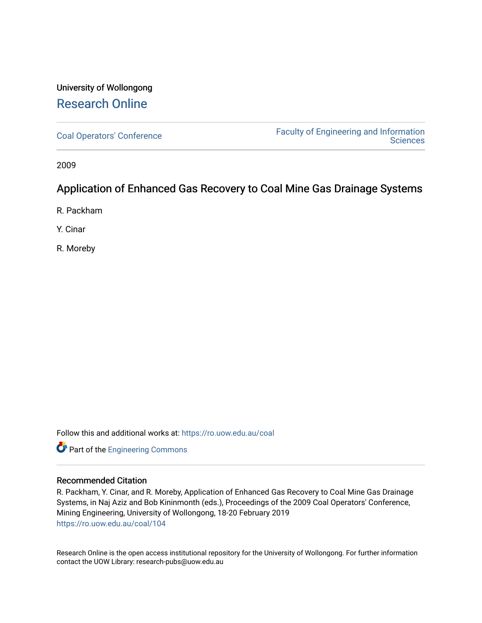# University of Wollongong [Research Online](https://ro.uow.edu.au/)

[Coal Operators' Conference](https://ro.uow.edu.au/coal) [Faculty of Engineering and Information](https://ro.uow.edu.au/eis)  **Sciences** 

2009

# Application of Enhanced Gas Recovery to Coal Mine Gas Drainage Systems

R. Packham

Y. Cinar

R. Moreby

Follow this and additional works at: [https://ro.uow.edu.au/coal](https://ro.uow.edu.au/coal?utm_source=ro.uow.edu.au%2Fcoal%2F104&utm_medium=PDF&utm_campaign=PDFCoverPages) 

Part of the [Engineering Commons](http://network.bepress.com/hgg/discipline/217?utm_source=ro.uow.edu.au%2Fcoal%2F104&utm_medium=PDF&utm_campaign=PDFCoverPages)

## Recommended Citation

R. Packham, Y. Cinar, and R. Moreby, Application of Enhanced Gas Recovery to Coal Mine Gas Drainage Systems, in Naj Aziz and Bob Kininmonth (eds.), Proceedings of the 2009 Coal Operators' Conference, Mining Engineering, University of Wollongong, 18-20 February 2019 [https://ro.uow.edu.au/coal/104](https://ro.uow.edu.au/coal/104?utm_source=ro.uow.edu.au%2Fcoal%2F104&utm_medium=PDF&utm_campaign=PDFCoverPages) 

Research Online is the open access institutional repository for the University of Wollongong. For further information contact the UOW Library: research-pubs@uow.edu.au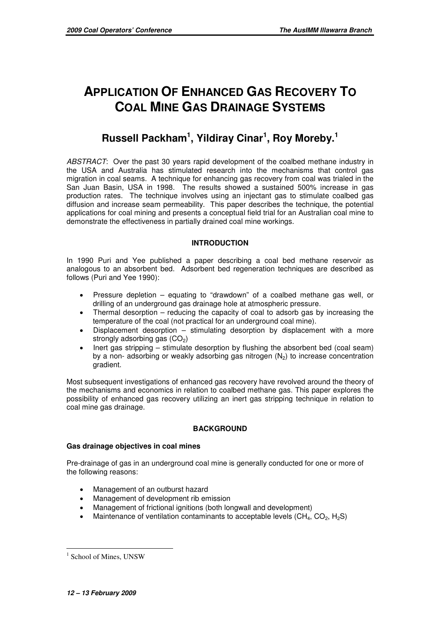# **APPLICATION OF ENHANCED GAS RECOVERY TO COAL MINE GAS DRAINAGE SYSTEMS**

# **Russell Packham<sup>1</sup> , Yildiray Cinar<sup>1</sup> , Roy Moreby.<sup>1</sup>**

ABSTRACT: Over the past 30 years rapid development of the coalbed methane industry in the USA and Australia has stimulated research into the mechanisms that control gas migration in coal seams. A technique for enhancing gas recovery from coal was trialed in the San Juan Basin, USA in 1998. The results showed a sustained 500% increase in gas production rates. The technique involves using an injectant gas to stimulate coalbed gas diffusion and increase seam permeability. This paper describes the technique, the potential applications for coal mining and presents a conceptual field trial for an Australian coal mine to demonstrate the effectiveness in partially drained coal mine workings.

# **INTRODUCTION**

In 1990 Puri and Yee published a paper describing a coal bed methane reservoir as analogous to an absorbent bed. Adsorbent bed regeneration techniques are described as follows (Puri and Yee 1990):

- Pressure depletion equating to "drawdown" of a coalbed methane gas well, or drilling of an underground gas drainage hole at atmospheric pressure.
- Thermal desorption reducing the capacity of coal to adsorb gas by increasing the temperature of the coal (not practical for an underground coal mine).
- Displacement desorption  $-$  stimulating desorption by displacement with a more strongly adsorbing gas  $(CO<sub>2</sub>)$
- Inert gas stripping stimulate desorption by flushing the absorbent bed (coal seam) by a non- adsorbing or weakly adsorbing gas nitrogen  $(N<sub>2</sub>)$  to increase concentration gradient.

Most subsequent investigations of enhanced gas recovery have revolved around the theory of the mechanisms and economics in relation to coalbed methane gas. This paper explores the possibility of enhanced gas recovery utilizing an inert gas stripping technique in relation to coal mine gas drainage.

## **BACKGROUND**

## **Gas drainage objectives in coal mines**

Pre-drainage of gas in an underground coal mine is generally conducted for one or more of the following reasons:

- Management of an outburst hazard
- Management of development rib emission
- Management of frictional ignitions (both longwall and development)
- Maintenance of ventilation contaminants to acceptable levels  $(CH_4, CO_2, H_2S)$

 $\overline{a}$ <sup>1</sup> School of Mines, UNSW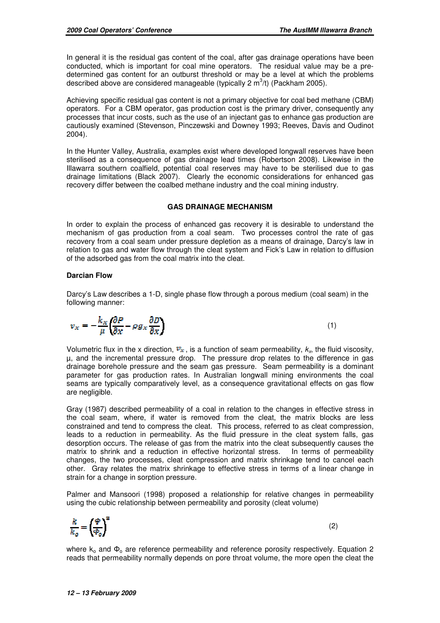In general it is the residual gas content of the coal, after gas drainage operations have been conducted, which is important for coal mine operators. The residual value may be a predetermined gas content for an outburst threshold or may be a level at which the problems described above are considered manageable (typically 2  $\text{m}^3$ /t) (Packham 2005).

Achieving specific residual gas content is not a primary objective for coal bed methane (CBM) operators. For a CBM operator, gas production cost is the primary driver, consequently any processes that incur costs, such as the use of an injectant gas to enhance gas production are cautiously examined (Stevenson, Pinczewski and Downey 1993; Reeves, Davis and Oudinot 2004).

In the Hunter Valley, Australia, examples exist where developed longwall reserves have been sterilised as a consequence of gas drainage lead times (Robertson 2008). Likewise in the Illawarra southern coalfield, potential coal reserves may have to be sterilised due to gas drainage limitations (Black 2007). Clearly the economic considerations for enhanced gas recovery differ between the coalbed methane industry and the coal mining industry.

## **GAS DRAINAGE MECHANISM**

In order to explain the process of enhanced gas recovery it is desirable to understand the mechanism of gas production from a coal seam. Two processes control the rate of gas recovery from a coal seam under pressure depletion as a means of drainage, Darcy's law in relation to gas and water flow through the cleat system and Fick's Law in relation to diffusion of the adsorbed gas from the coal matrix into the cleat.

## **Darcian Flow**

Darcy's Law describes a 1-D, single phase flow through a porous medium (coal seam) in the following manner:

$$
v_x = -\frac{k_x}{\mu} \left( \frac{\partial P}{\partial x} - \rho g_x \frac{\partial D}{\partial x} \right)
$$

(1)

Volumetric flux in the x direction,  $v_x$ , is a function of seam permeability,  $k_x$ , the fluid viscosity, µ, and the incremental pressure drop. The pressure drop relates to the difference in gas drainage borehole pressure and the seam gas pressure. Seam permeability is a dominant parameter for gas production rates. In Australian longwall mining environments the coal seams are typically comparatively level, as a consequence gravitational effects on gas flow are negligible.

Gray (1987) described permeability of a coal in relation to the changes in effective stress in the coal seam, where, if water is removed from the cleat, the matrix blocks are less constrained and tend to compress the cleat. This process, referred to as cleat compression, leads to a reduction in permeability. As the fluid pressure in the cleat system falls, gas desorption occurs. The release of gas from the matrix into the cleat subsequently causes the matrix to shrink and a reduction in effective horizontal stress. In terms of permeability changes, the two processes, cleat compression and matrix shrinkage tend to cancel each other. Gray relates the matrix shrinkage to effective stress in terms of a linear change in strain for a change in sorption pressure.

Palmer and Mansoori (1998) proposed a relationship for relative changes in permeability using the cubic relationship between permeability and porosity (cleat volume)

$$
\frac{k}{k_o}=\left(\!\frac{\varPhi}{\varPhi_o}\!\right)^{\!\!\mathtt{S}}
$$

(2)

where  $k_0$  and  $\Phi_0$  are reference permeability and reference porosity respectively. Equation 2 reads that permeability normally depends on pore throat volume, the more open the cleat the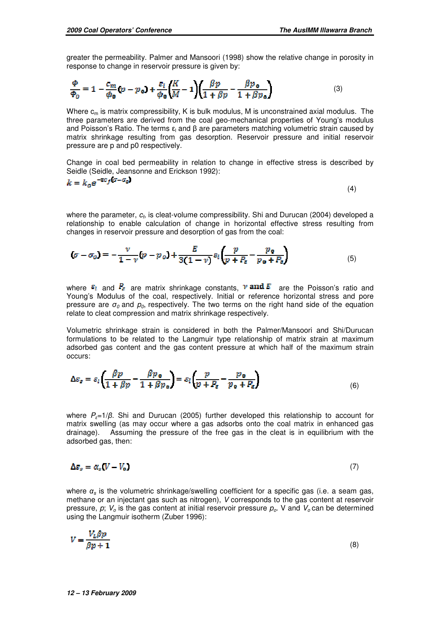(7)

greater the permeability. Palmer and Mansoori (1998) show the relative change in porosity in response to change in reservoir pressure is given by:

$$
\frac{\Phi}{\Phi_0} = 1 - \frac{c_m}{\phi_0} (p - p_0) + \frac{\varepsilon_l}{\phi_0} \left(\frac{K}{M} - 1\right) \left(\frac{\beta p}{1 + \beta p} - \frac{\beta p_0}{1 + \beta p_0}\right) \tag{3}
$$

Where  $c_m$  is matrix compressibility, K is bulk modulus, M is unconstrained axial modulus. The three parameters are derived from the coal geo-mechanical properties of Young's modulus and Poisson's Ratio. The terms ε<sub>l</sub> and β are parameters matching volumetric strain caused by matrix shrinkage resulting from gas desorption. Reservoir pressure and initial reservoir pressure are p and p0 respectively.

Change in coal bed permeability in relation to change in effective stress is described by Seidle (Seidle, Jeansonne and Erickson 1992):

$$
k = k_o e^{-2c_f(\sigma - \sigma_o)}
$$
\n<sup>(4)</sup>

where the parameter,  $c_{\textit{f}_{2}}$  is cleat-volume compressibility. Shi and Durucan (2004) developed a relationship to enable calculation of change in horizontal effective stress resulting from changes in reservoir pressure and desorption of gas from the coal:

$$
(\sigma - \sigma_0) = -\frac{\nu}{1 - \nu} (p - p_0) + \frac{E}{3(1 - \nu)} \varepsilon_l \left( \frac{p}{p + P_e} - \frac{p_0}{p_0 + P_e} \right) \tag{5}
$$

where  $\varepsilon_l$  and  $P_{\varepsilon}$  are matrix shrinkage constants,  $\nu$  and  $E$  are the Poisson's ratio and Young's Modulus of the coal, respectively. Initial or reference horizontal stress and pore pressure are  $\sigma_0$  and  $p_0$ , respectively. The two terms on the right hand side of the equation relate to cleat compression and matrix shrinkage respectively.

Volumetric shrinkage strain is considered in both the Palmer/Mansoori and Shi/Durucan formulations to be related to the Langmuir type relationship of matrix strain at maximum adsorbed gas content and the gas content pressure at which half of the maximum strain occurs:

$$
\Delta \varepsilon_z = \varepsilon_l \left( \frac{\beta p}{1 + \beta p} - \frac{\beta p_0}{1 + \beta p_0} \right) = \varepsilon_l \left( \frac{p}{p + P_\varepsilon} - \frac{p_0}{p_0 + P_\varepsilon} \right) \tag{6}
$$

where  $P_{\epsilon}=1/\beta$ . Shi and Durucan (2005) further developed this relationship to account for matrix swelling (as may occur where a gas adsorbs onto the coal matrix in enhanced gas drainage). Assuming the pressure of the free gas in the cleat is in equilibrium with the adsorbed gas, then:

$$
\Delta \varepsilon_s = \alpha_s (V - V_o)
$$

where  $\alpha_s$  is the volumetric shrinkage/swelling coefficient for a specific gas (i.e. a seam gas, methane or an injectant gas such as nitrogen), V corresponds to the gas content at reservoir pressure, p;  $V_0$  is the gas content at initial reservoir pressure  $p_0$ . V and  $V_0$  can be determined using the Langmuir isotherm (Zuber 1996):

$$
V = \frac{V_L \beta p}{\beta p + 1} \tag{8}
$$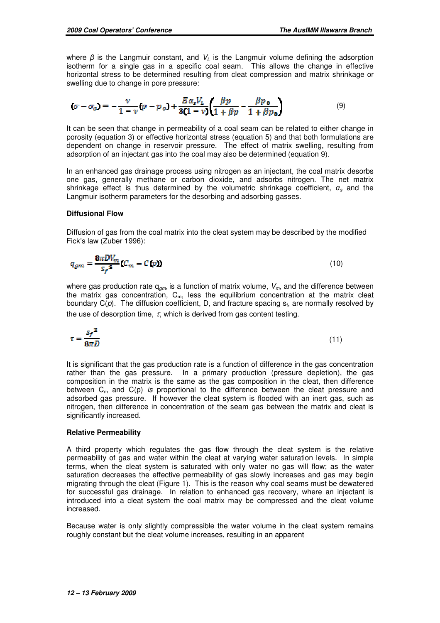where  $\beta$  is the Langmuir constant, and  $V_L$  is the Langmuir volume defining the adsorption isotherm for a single gas in a specific coal seam. This allows the change in effective horizontal stress to be determined resulting from cleat compression and matrix shrinkage or swelling due to change in pore pressure:

$$
(\sigma - \sigma_0) = -\frac{\nu}{1 - \nu} (p - p_0) + \frac{E \alpha_s V_L}{3(1 - \nu)} \left( \frac{\beta p}{1 + \beta p} - \frac{\beta p_0}{1 + \beta p_0} \right) \tag{9}
$$

It can be seen that change in permeability of a coal seam can be related to either change in porosity (equation 3) or effective horizontal stress (equation 5) and that both formulations are dependent on change in reservoir pressure. The effect of matrix swelling, resulting from adsorption of an injectant gas into the coal may also be determined (equation 9).

In an enhanced gas drainage process using nitrogen as an injectant, the coal matrix desorbs one gas, generally methane or carbon dioxide, and adsorbs nitrogen. The net matrix shrinkage effect is thus determined by the volumetric shrinkage coefficient,  $\alpha_s$  and the Langmuir isotherm parameters for the desorbing and adsorbing gasses.

#### **Diffusional Flow**

Diffusion of gas from the coal matrix into the cleat system may be described by the modified Fick's law (Zuber 1996):

$$
q_{gm} = \frac{8\pi DV_m}{s_f^2} (C_m - C(p))
$$
\n(10)

where gas production rate  $q_{gm}$ , is a function of matrix volume,  $V_m$ , and the difference between the matrix gas concentration,  $C_m$ , less the equilibrium concentration at the matrix cleat boundary  $C(\rho)$ . The diffusion coefficient, D, and fracture spacing  $s_f$ , are normally resolved by the use of desorption time,  $\tau$ , which is derived from gas content testing.

$$
\tau = \frac{s_f^2}{8\pi D} \tag{11}
$$

It is significant that the gas production rate is a function of difference in the gas concentration rather than the gas pressure. In a primary production (pressure depletion), the gas composition in the matrix is the same as the gas composition in the cleat, then difference between  $C_m$  and  $C(p)$  is proportional to the difference between the cleat pressure and adsorbed gas pressure. If however the cleat system is flooded with an inert gas, such as nitrogen, then difference in concentration of the seam gas between the matrix and cleat is significantly increased.

#### **Relative Permeability**

A third property which regulates the gas flow through the cleat system is the relative permeability of gas and water within the cleat at varying water saturation levels. In simple terms, when the cleat system is saturated with only water no gas will flow; as the water saturation decreases the effective permeability of gas slowly increases and gas may begin migrating through the cleat (Figure 1). This is the reason why coal seams must be dewatered for successful gas drainage. In relation to enhanced gas recovery, where an injectant is introduced into a cleat system the coal matrix may be compressed and the cleat volume increased.

Because water is only slightly compressible the water volume in the cleat system remains roughly constant but the cleat volume increases, resulting in an apparent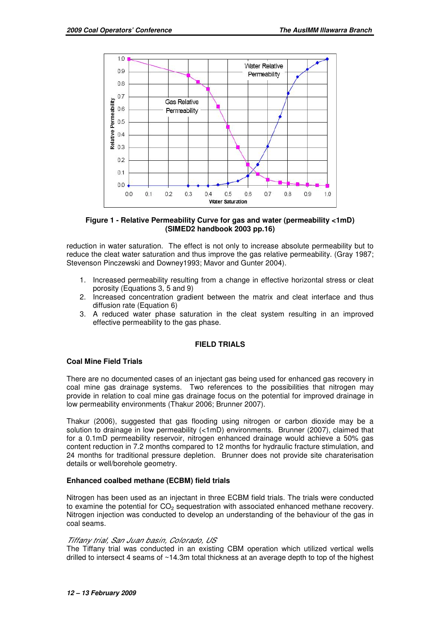

#### **Figure 1 - Relative Permeability Curve for gas and water (permeability <1mD) (SIMED2 handbook 2003 pp.16)**

reduction in water saturation. The effect is not only to increase absolute permeability but to reduce the cleat water saturation and thus improve the gas relative permeability. (Gray 1987; Stevenson Pinczewski and Downey1993; Mavor and Gunter 2004).

- 1. Increased permeability resulting from a change in effective horizontal stress or cleat porosity (Equations 3, 5 and 9)
- 2. Increased concentration gradient between the matrix and cleat interface and thus diffusion rate (Equation 6)
- 3. A reduced water phase saturation in the cleat system resulting in an improved effective permeability to the gas phase.

## **FIELD TRIALS**

## **Coal Mine Field Trials**

There are no documented cases of an injectant gas being used for enhanced gas recovery in coal mine gas drainage systems. Two references to the possibilities that nitrogen may provide in relation to coal mine gas drainage focus on the potential for improved drainage in low permeability environments (Thakur 2006; Brunner 2007).

Thakur (2006), suggested that gas flooding using nitrogen or carbon dioxide may be a solution to drainage in low permeability (<1mD) environments. Brunner (2007), claimed that for a 0.1mD permeability reservoir, nitrogen enhanced drainage would achieve a 50% gas content reduction in 7.2 months compared to 12 months for hydraulic fracture stimulation, and 24 months for traditional pressure depletion. Brunner does not provide site charaterisation details or well/borehole geometry.

## **Enhanced coalbed methane (ECBM) field trials**

Nitrogen has been used as an injectant in three ECBM field trials. The trials were conducted to examine the potential for  $CO<sub>2</sub>$  sequestration with associated enhanced methane recovery. Nitrogen injection was conducted to develop an understanding of the behaviour of the gas in coal seams.

#### Tiffany trial, San Juan basin, Colorado, US

The Tiffany trial was conducted in an existing CBM operation which utilized vertical wells drilled to intersect 4 seams of ~14.3m total thickness at an average depth to top of the highest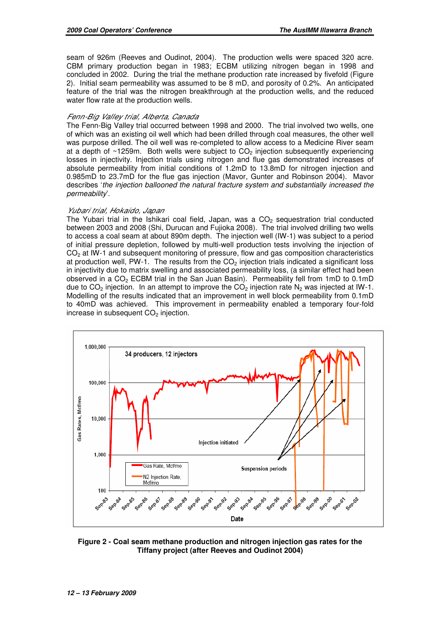seam of 926m (Reeves and Oudinot, 2004). The production wells were spaced 320 acre. CBM primary production began in 1983; ECBM utilizing nitrogen began in 1998 and concluded in 2002. During the trial the methane production rate increased by fivefold (Figure 2). Initial seam permeability was assumed to be 8 mD, and porosity of 0.2%. An anticipated feature of the trial was the nitrogen breakthrough at the production wells, and the reduced water flow rate at the production wells.

#### Fenn-Big Valley trial, Alberta, Canada

The Fenn-Big Valley trial occurred between 1998 and 2000. The trial involved two wells, one of which was an existing oil well which had been drilled through coal measures, the other well was purpose drilled. The oil well was re-completed to allow access to a Medicine River seam at a depth of  $\sim$ 1259m. Both wells were subject to CO<sub>2</sub> injection subsequently experiencing losses in injectivity. Injection trials using nitrogen and flue gas demonstrated increases of absolute permeability from initial conditions of 1.2mD to 13.8mD for nitrogen injection and 0.985mD to 23.7mD for the flue gas injection (Mavor, Gunter and Robinson 2004). Mavor describes 'the injection ballooned the natural fracture system and substantially increased the permeability'.

### Yubari trial, Hokaido, Japan

The Yubari trial in the Ishikari coal field, Japan, was a  $CO<sub>2</sub>$  sequestration trial conducted between 2003 and 2008 (Shi, Durucan and Fujioka 2008). The trial involved drilling two wells to access a coal seam at about 890m depth. The injection well (IW-1) was subject to a period of initial pressure depletion, followed by multi-well production tests involving the injection of  $CO<sub>2</sub>$  at IW-1 and subsequent monitoring of pressure, flow and gas composition characteristics at production well, PW-1. The results from the  $CO<sub>2</sub>$  injection trials indicated a significant loss in injectivity due to matrix swelling and associated permeability loss, (a similar effect had been observed in a  $CO<sub>2</sub>$  ECBM trial in the San Juan Basin). Permeability fell from 1mD to 0.1mD due to  $CO_2$  injection. In an attempt to improve the  $CO_2$  injection rate N<sub>2</sub> was injected at IW-1. Modelling of the results indicated that an improvement in well block permeability from 0.1mD to 40mD was achieved. This improvement in permeability enabled a temporary four-fold increase in subsequent  $CO<sub>2</sub>$  injection.



**Figure 2 - Coal seam methane production and nitrogen injection gas rates for the Tiffany project (after Reeves and Oudinot 2004)**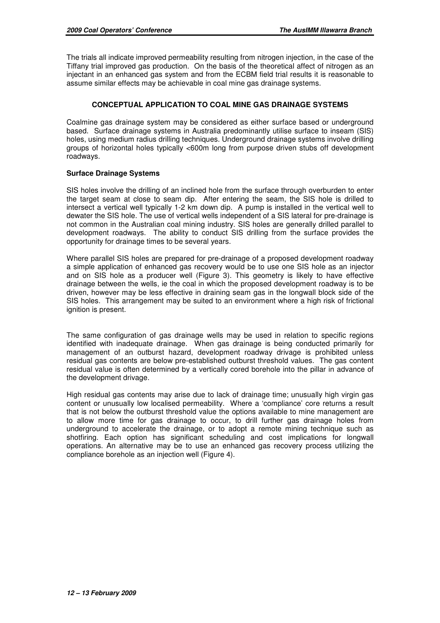The trials all indicate improved permeability resulting from nitrogen injection, in the case of the Tiffany trial improved gas production. On the basis of the theoretical affect of nitrogen as an injectant in an enhanced gas system and from the ECBM field trial results it is reasonable to assume similar effects may be achievable in coal mine gas drainage systems.

## **CONCEPTUAL APPLICATION TO COAL MINE GAS DRAINAGE SYSTEMS**

Coalmine gas drainage system may be considered as either surface based or underground based. Surface drainage systems in Australia predominantly utilise surface to inseam (SIS) holes, using medium radius drilling techniques. Underground drainage systems involve drilling groups of horizontal holes typically <600m long from purpose driven stubs off development roadways.

## **Surface Drainage Systems**

SIS holes involve the drilling of an inclined hole from the surface through overburden to enter the target seam at close to seam dip. After entering the seam, the SIS hole is drilled to intersect a vertical well typically 1-2 km down dip. A pump is installed in the vertical well to dewater the SIS hole. The use of vertical wells independent of a SIS lateral for pre-drainage is not common in the Australian coal mining industry. SIS holes are generally drilled parallel to development roadways. The ability to conduct SIS drilling from the surface provides the opportunity for drainage times to be several years.

Where parallel SIS holes are prepared for pre-drainage of a proposed development roadway a simple application of enhanced gas recovery would be to use one SIS hole as an injector and on SIS hole as a producer well (Figure 3). This geometry is likely to have effective drainage between the wells, ie the coal in which the proposed development roadway is to be driven, however may be less effective in draining seam gas in the longwall block side of the SIS holes. This arrangement may be suited to an environment where a high risk of frictional ignition is present.

The same configuration of gas drainage wells may be used in relation to specific regions identified with inadequate drainage. When gas drainage is being conducted primarily for management of an outburst hazard, development roadway drivage is prohibited unless residual gas contents are below pre-established outburst threshold values. The gas content residual value is often determined by a vertically cored borehole into the pillar in advance of the development drivage.

High residual gas contents may arise due to lack of drainage time; unusually high virgin gas content or unusually low localised permeability. Where a 'compliance' core returns a result that is not below the outburst threshold value the options available to mine management are to allow more time for gas drainage to occur, to drill further gas drainage holes from underground to accelerate the drainage, or to adopt a remote mining technique such as shotfiring. Each option has significant scheduling and cost implications for longwall operations. An alternative may be to use an enhanced gas recovery process utilizing the compliance borehole as an injection well (Figure 4).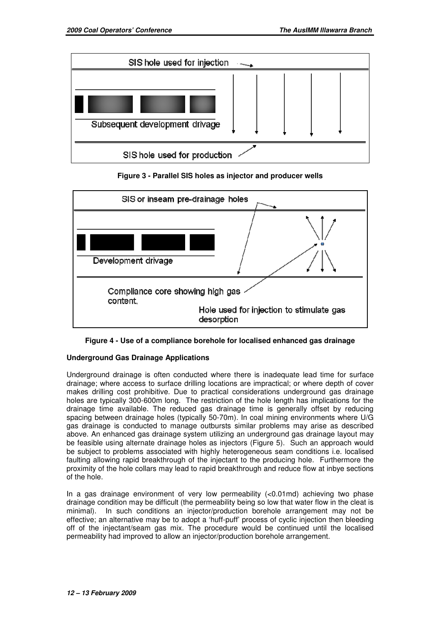

**Figure 3 - Parallel SIS holes as injector and producer wells** 



**Figure 4 - Use of a compliance borehole for localised enhanced gas drainage** 

# **Underground Gas Drainage Applications**

Underground drainage is often conducted where there is inadequate lead time for surface drainage; where access to surface drilling locations are impractical; or where depth of cover makes drilling cost prohibitive. Due to practical considerations underground gas drainage holes are typically 300-600m long. The restriction of the hole length has implications for the drainage time available. The reduced gas drainage time is generally offset by reducing spacing between drainage holes (typically 50-70m). In coal mining environments where U/G gas drainage is conducted to manage outbursts similar problems may arise as described above. An enhanced gas drainage system utilizing an underground gas drainage layout may be feasible using alternate drainage holes as injectors (Figure 5). Such an approach would be subject to problems associated with highly heterogeneous seam conditions i.e. localised faulting allowing rapid breakthrough of the injectant to the producing hole. Furthermore the proximity of the hole collars may lead to rapid breakthrough and reduce flow at inbye sections of the hole.

In a gas drainage environment of very low permeability (<0.01md) achieving two phase drainage condition may be difficult (the permeability being so low that water flow in the cleat is minimal). In such conditions an injector/production borehole arrangement may not be effective; an alternative may be to adopt a 'huff-puff' process of cyclic injection then bleeding off of the injectant/seam gas mix. The procedure would be continued until the localised permeability had improved to allow an injector/production borehole arrangement.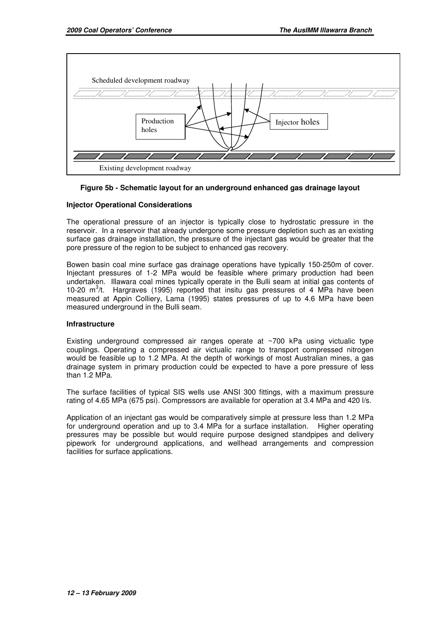

## **Figure 5b - Schematic layout for an underground enhanced gas drainage layout**

#### **Injector Operational Considerations**

The operational pressure of an injector is typically close to hydrostatic pressure in the reservoir. In a reservoir that already undergone some pressure depletion such as an existing surface gas drainage installation, the pressure of the injectant gas would be greater that the pore pressure of the region to be subject to enhanced gas recovery.

Bowen basin coal mine surface gas drainage operations have typically 150-250m of cover. Injectant pressures of 1-2 MPa would be feasible where primary production had been undertaken. Illawara coal mines typically operate in the Bulli seam at initial gas contents of 10-20  $m^3/t$ . Hargraves (1995) reported that insitu gas pressures of 4 MPa have been measured at Appin Colliery, Lama (1995) states pressures of up to 4.6 MPa have been measured underground in the Bulli seam.

#### **Infrastructure**

Existing underground compressed air ranges operate at ~700 kPa using victualic type couplings. Operating a compressed air victualic range to transport compressed nitrogen would be feasible up to 1.2 MPa. At the depth of workings of most Australian mines, a gas drainage system in primary production could be expected to have a pore pressure of less than 1.2 MPa.

The surface facilities of typical SIS wells use ANSI 300 fittings, with a maximum pressure rating of 4.65 MPa (675 psi). Compressors are available for operation at 3.4 MPa and 420 l/s.

Application of an injectant gas would be comparatively simple at pressure less than 1.2 MPa for underground operation and up to 3.4 MPa for a surface installation. Higher operating pressures may be possible but would require purpose designed standpipes and delivery pipework for underground applications, and wellhead arrangements and compression facilities for surface applications.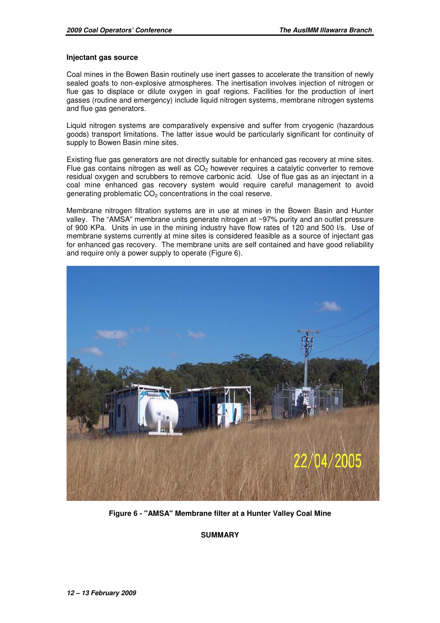#### **Injectant gas source**

Coal mines in the Bowen Basin routinely use inert gasses to accelerate the transition of newly sealed goafs to non-explosive atmospheres. The inertisation involves injection of nitrogen or flue gas to displace or dilute oxygen in goaf regions. Facilities for the production of inert gasses (routine and emergency) include liquid nitrogen systems, membrane nitrogen systems and flue gas generators.

Liquid nitrogen systems are comparatively expensive and suffer from cryogenic (hazardous goods) transport limitations. The latter issue would be particularly significant for continuity of supply to Bowen Basin mine sites.

Existing flue gas generators are not directly suitable for enhanced gas recovery at mine sites. Flue gas contains nitrogen as well as  $CO<sub>2</sub>$  however requires a catalytic converter to remove residual oxygen and scrubbers to remove carbonic acid. Use of flue gas as an injectant in a coal mine enhanced gas recovery system would require careful management to avoid generating problematic  $CO<sub>2</sub>$  concentrations in the coal reserve.

Membrane nitrogen filtration systems are in use at mines in the Bowen Basin and Hunter valley. The "AMSA" membrane units generate nitrogen at ~97% purity and an outlet pressure of 900 KPa. Units in use in the mining industry have flow rates of 120 and 500 l/s. Use of membrane systems currently at mine sites is considered feasible as a source of injectant gas for enhanced gas recovery. The membrane units are self contained and have good reliability and require only a power supply to operate (Figure 6).



**Figure 6 - "AMSA" Membrane filter at a Hunter Valley Coal Mine** 

**SUMMARY**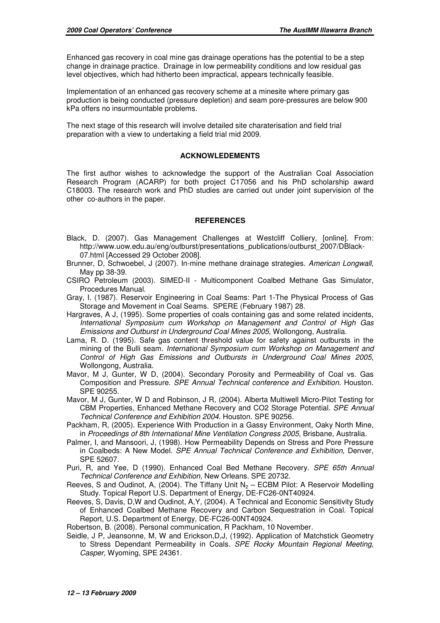Enhanced gas recovery in coal mine gas drainage operations has the potential to be a step change in drainage practice. Drainage in low permeability conditions and low residual gas level objectives, which had hitherto been impractical, appears technically feasible.

Implementation of an enhanced gas recovery scheme at a minesite where primary gas production is being conducted (pressure depletion) and seam pore-pressures are below 900 kPa offers no insurmountable problems.

The next stage of this research will involve detailed site charaterisation and field trial preparation with a view to undertaking a field trial mid 2009.

#### **ACKNOWLEDEMENTS**

The first author wishes to acknowledge the support of the Australian Coal Association Research Program (ACARP) for both project C17056 and his PhD scholarship award C18003. The research work and PhD studies are carried out under joint supervision of the other co-authors in the paper.

#### **REFERENCES**

- Black, D. (2007). Gas Management Challenges at Westcliff Colliery, [online]. From: http://www.uow.edu.au/eng/outburst/presentations\_publications/outburst\_2007/DBlack-07.html [Accessed 29 October 2008].
- Brunner, D, Schwoebel, J (2007). In-mine methane drainage strategies. American Longwall, May pp 38-39.
- CSIRO Petroleum (2003). SIMED-II Multicomponent Coalbed Methane Gas Simulator, Procedures Manual.
- Gray, I. (1987). Reservoir Engineering in Coal Seams: Part 1-The Physical Process of Gas Storage and Movement in Coal Seams. SPERE (February 1987) 28.
- Hargraves, A J, (1995). Some properties of coals containing gas and some related incidents, International Symposium cum Workshop on Management and Control of High Gas Emissions and Outburst in Underground Coal Mines 2005, Wollongong, Australia.
- Lama, R. D. (1995). Safe gas content threshold value for safety against outbursts in the mining of the Bulli seam. International Symposium cum Workshop on Management and Control of High Gas Emissions and Outbursts in Underground Coal Mines 2005, Wollongong, Australia.
- Mavor, M J, Gunter, W D, (2004). Secondary Porosity and Permeability of Coal vs. Gas Composition and Pressure. SPE Annual Technical conference and Exhibition. Houston. SPE 90255.
- Mavor, M J, Gunter, W D and Robinson, J R, (2004). Alberta Multiwell Micro-Pilot Testing for CBM Properties, Enhanced Methane Recovery and CO2 Storage Potential. SPE Annual Technical Conference and Exhibition 2004. Houston. SPE 90256.
- Packham, R, (2005). Experience With Production in a Gassy Environment, Oaky North Mine, in Proceedings of 8th International Mine Ventilation Congress 2005, Brisbane, Australia.
- Palmer, I, and Mansoori, J, (1998). How Permeability Depends on Stress and Pore Pressure in Coalbeds: A New Model. SPE Annual Technical Conference and Exhibition, Denver, SPE 52607.
- Puri, R, and Yee, D (1990). Enhanced Coal Bed Methane Recovery. SPE 65th Annual Technical Conference and Exhibition, New Orleans. SPE 20732.
- Reeves, S and Oudinot, A, (2004). The Tiffany Unit  $N_2$  ECBM Pilot: A Reservoir Modelling Study. Topical Report U.S. Department of Energy, DE-FC26-0NT40924.
- Reeves, S, Davis, D,W and Oudinot, A,Y, (2004). A Technical and Economic Sensitivity Study of Enhanced Coalbed Methane Recovery and Carbon Sequestration in Coal. Topical Report, U.S. Department of Energy, DE-FC26-00NT40924.
- Robertson, B. (2008). Personal communication, R Packham, 10 November.
- Seidle, J P, Jeansonne, M, W and Erickson,D,J, (1992). Application of Matchstick Geometry to Stress Dependant Permeability in Coals. SPE Rocky Mountain Regional Meeting, Casper, Wyoming, SPE 24361.